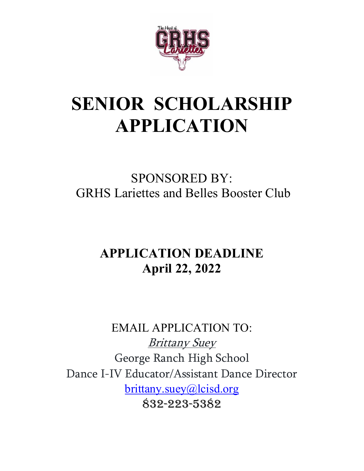

# **SENIOR SCHOLARSHIP APPLICATION**

### SPONSORED BY: GRHS Lariettes and Belles Booster Club

### **APPLICATION DEADLINE April 22, 2022**

EMAIL APPLICATION TO: Brittany Suey George Ranch High School Dance I-IV Educator/Assistant Dance Director [brittany.suey@lcisd.org](mailto:brittany.suey@lcisd.org) 832-223-5382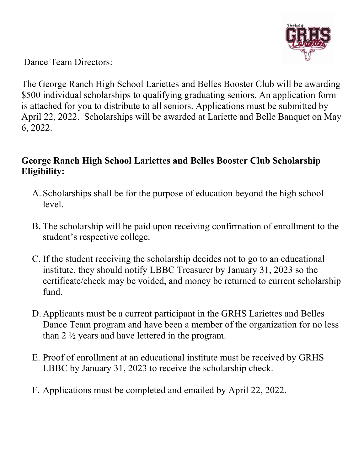

Dance Team Directors:

The George Ranch High School Lariettes and Belles Booster Club will be awarding \$500 individual scholarships to qualifying graduating seniors. An application form is attached for you to distribute to all seniors. Applications must be submitted by April 22, 2022. Scholarships will be awarded at Lariette and Belle Banquet on May 6, 2022.

#### **George Ranch High School Lariettes and Belles Booster Club Scholarship Eligibility:**

- A. Scholarships shall be for the purpose of education beyond the high school level.
- B. The scholarship will be paid upon receiving confirmation of enrollment to the student's respective college.
- C. If the student receiving the scholarship decides not to go to an educational institute, they should notify LBBC Treasurer by January 31, 2023 so the certificate/check may be voided, and money be returned to current scholarship fund.
- D. Applicants must be a current participant in the GRHS Lariettes and Belles Dance Team program and have been a member of the organization for no less than 2 ½ years and have lettered in the program.
- E. Proof of enrollment at an educational institute must be received by GRHS LBBC by January 31, 2023 to receive the scholarship check.
- F. Applications must be completed and emailed by April 22, 2022.